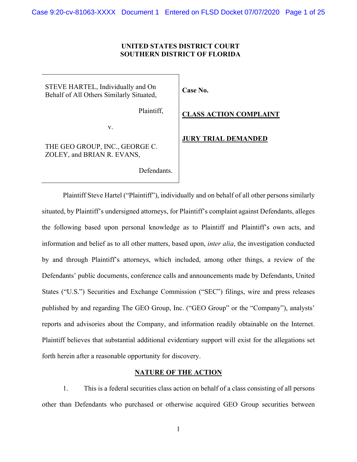## **UNITED STATES DISTRICT COURT SOUTHERN DISTRICT OF FLORIDA**

STEVE HARTEL, Individually and On Behalf of All Others Similarly Situated,

Plaintiff,

v.

THE GEO GROUP, INC., GEORGE C. ZOLEY, and BRIAN R. EVANS,

Defendants.

# **Case No.**

**CLASS ACTION COMPLAINT** 

## **JURY TRIAL DEMANDED**

Plaintiff Steve Hartel ("Plaintiff"), individually and on behalf of all other persons similarly situated, by Plaintiff's undersigned attorneys, for Plaintiff's complaint against Defendants, alleges the following based upon personal knowledge as to Plaintiff and Plaintiff's own acts, and information and belief as to all other matters, based upon, *inter alia*, the investigation conducted by and through Plaintiff's attorneys, which included, among other things, a review of the Defendants' public documents, conference calls and announcements made by Defendants, United States ("U.S.") Securities and Exchange Commission ("SEC") filings, wire and press releases published by and regarding The GEO Group, Inc. ("GEO Group" or the "Company"), analysts' reports and advisories about the Company, and information readily obtainable on the Internet. Plaintiff believes that substantial additional evidentiary support will exist for the allegations set forth herein after a reasonable opportunity for discovery.

### **NATURE OF THE ACTION**

1. This is a federal securities class action on behalf of a class consisting of all persons other than Defendants who purchased or otherwise acquired GEO Group securities between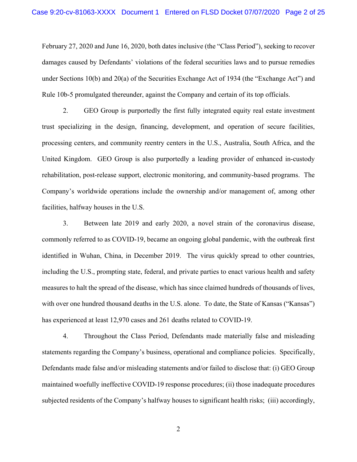February 27, 2020 and June 16, 2020, both dates inclusive (the "Class Period"), seeking to recover damages caused by Defendants' violations of the federal securities laws and to pursue remedies under Sections 10(b) and 20(a) of the Securities Exchange Act of 1934 (the "Exchange Act") and Rule 10b-5 promulgated thereunder, against the Company and certain of its top officials.

2. GEO Group is purportedly the first fully integrated equity real estate investment trust specializing in the design, financing, development, and operation of secure facilities, processing centers, and community reentry centers in the U.S., Australia, South Africa, and the United Kingdom. GEO Group is also purportedly a leading provider of enhanced in-custody rehabilitation, post-release support, electronic monitoring, and community-based programs. The Company's worldwide operations include the ownership and/or management of, among other facilities, halfway houses in the U.S.

3. Between late 2019 and early 2020, a novel strain of the coronavirus disease, commonly referred to as COVID-19, became an ongoing global pandemic, with the outbreak first identified in Wuhan, China, in December 2019. The virus quickly spread to other countries, including the U.S., prompting state, federal, and private parties to enact various health and safety measures to halt the spread of the disease, which has since claimed hundreds of thousands of lives, with over one hundred thousand deaths in the U.S. alone. To date, the State of Kansas ("Kansas") has experienced at least 12,970 cases and 261 deaths related to COVID-19.

4. Throughout the Class Period, Defendants made materially false and misleading statements regarding the Company's business, operational and compliance policies. Specifically, Defendants made false and/or misleading statements and/or failed to disclose that: (i) GEO Group maintained woefully ineffective COVID-19 response procedures; (ii) those inadequate procedures subjected residents of the Company's halfway houses to significant health risks; (iii) accordingly,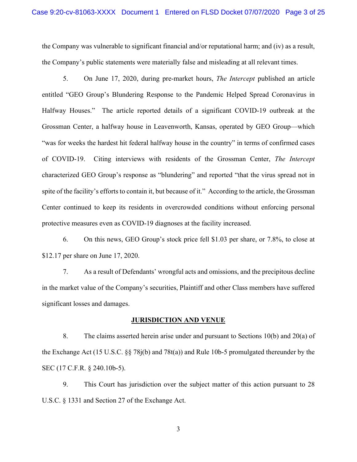the Company was vulnerable to significant financial and/or reputational harm; and (iv) as a result, the Company's public statements were materially false and misleading at all relevant times.

5. On June 17, 2020, during pre-market hours, *The Intercept* published an article entitled "GEO Group's Blundering Response to the Pandemic Helped Spread Coronavirus in Halfway Houses." The article reported details of a significant COVID-19 outbreak at the Grossman Center, a halfway house in Leavenworth, Kansas, operated by GEO Group—which "was for weeks the hardest hit federal halfway house in the country" in terms of confirmed cases of COVID-19. Citing interviews with residents of the Grossman Center, *The Intercept* characterized GEO Group's response as "blundering" and reported "that the virus spread not in spite of the facility's efforts to contain it, but because of it." According to the article, the Grossman Center continued to keep its residents in overcrowded conditions without enforcing personal protective measures even as COVID-19 diagnoses at the facility increased.

6. On this news, GEO Group's stock price fell \$1.03 per share, or 7.8%, to close at \$12.17 per share on June 17, 2020.

7. As a result of Defendants' wrongful acts and omissions, and the precipitous decline in the market value of the Company's securities, Plaintiff and other Class members have suffered significant losses and damages.

# **JURISDICTION AND VENUE**

8. The claims asserted herein arise under and pursuant to Sections 10(b) and 20(a) of the Exchange Act (15 U.S.C. §§ 78j(b) and 78t(a)) and Rule 10b-5 promulgated thereunder by the SEC (17 C.F.R. § 240.10b-5).

9. This Court has jurisdiction over the subject matter of this action pursuant to 28 U.S.C. § 1331 and Section 27 of the Exchange Act.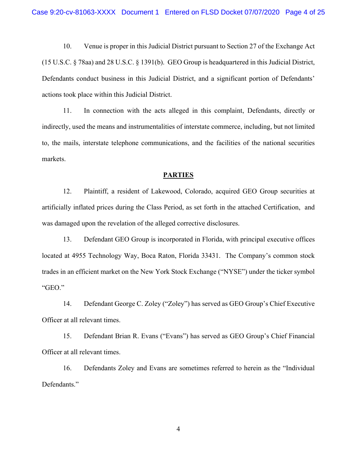10. Venue is proper in this Judicial District pursuant to Section 27 of the Exchange Act (15 U.S.C. § 78aa) and 28 U.S.C. § 1391(b). GEO Group is headquartered in this Judicial District, Defendants conduct business in this Judicial District, and a significant portion of Defendants' actions took place within this Judicial District.

11. In connection with the acts alleged in this complaint, Defendants, directly or indirectly, used the means and instrumentalities of interstate commerce, including, but not limited to, the mails, interstate telephone communications, and the facilities of the national securities markets.

#### **PARTIES**

12. Plaintiff, a resident of Lakewood, Colorado, acquired GEO Group securities at artificially inflated prices during the Class Period, as set forth in the attached Certification, and was damaged upon the revelation of the alleged corrective disclosures.

13. Defendant GEO Group is incorporated in Florida, with principal executive offices located at 4955 Technology Way, Boca Raton, Florida 33431. The Company's common stock trades in an efficient market on the New York Stock Exchange ("NYSE") under the ticker symbol "GEO."

14. Defendant George C. Zoley ("Zoley") has served as GEO Group's Chief Executive Officer at all relevant times.

15. Defendant Brian R. Evans ("Evans") has served as GEO Group's Chief Financial Officer at all relevant times.

16. Defendants Zoley and Evans are sometimes referred to herein as the "Individual Defendants."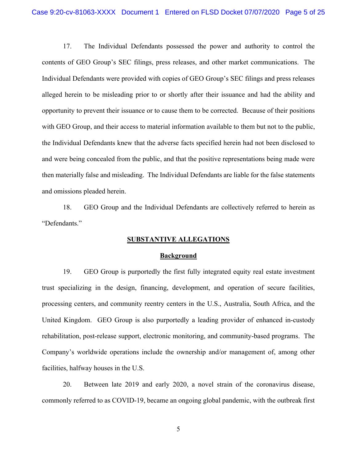17. The Individual Defendants possessed the power and authority to control the contents of GEO Group's SEC filings, press releases, and other market communications. The Individual Defendants were provided with copies of GEO Group's SEC filings and press releases alleged herein to be misleading prior to or shortly after their issuance and had the ability and opportunity to prevent their issuance or to cause them to be corrected. Because of their positions with GEO Group, and their access to material information available to them but not to the public, the Individual Defendants knew that the adverse facts specified herein had not been disclosed to and were being concealed from the public, and that the positive representations being made were then materially false and misleading. The Individual Defendants are liable for the false statements and omissions pleaded herein.

18. GEO Group and the Individual Defendants are collectively referred to herein as "Defendants."

### **SUBSTANTIVE ALLEGATIONS**

#### **Background**

19. GEO Group is purportedly the first fully integrated equity real estate investment trust specializing in the design, financing, development, and operation of secure facilities, processing centers, and community reentry centers in the U.S., Australia, South Africa, and the United Kingdom. GEO Group is also purportedly a leading provider of enhanced in-custody rehabilitation, post-release support, electronic monitoring, and community-based programs. The Company's worldwide operations include the ownership and/or management of, among other facilities, halfway houses in the U.S.

20. Between late 2019 and early 2020, a novel strain of the coronavirus disease, commonly referred to as COVID-19, became an ongoing global pandemic, with the outbreak first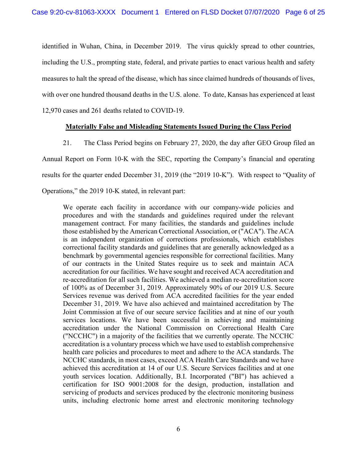identified in Wuhan, China, in December 2019. The virus quickly spread to other countries, including the U.S., prompting state, federal, and private parties to enact various health and safety measures to halt the spread of the disease, which has since claimed hundreds of thousands of lives, with over one hundred thousand deaths in the U.S. alone. To date, Kansas has experienced at least 12,970 cases and 261 deaths related to COVID-19.

## **Materially False and Misleading Statements Issued During the Class Period**

21. The Class Period begins on February 27, 2020, the day after GEO Group filed an Annual Report on Form 10-K with the SEC, reporting the Company's financial and operating results for the quarter ended December 31, 2019 (the "2019 10-K"). With respect to "Quality of Operations," the 2019 10-K stated, in relevant part:

We operate each facility in accordance with our company-wide policies and procedures and with the standards and guidelines required under the relevant management contract. For many facilities, the standards and guidelines include those established by the American Correctional Association, or ("ACA"). The ACA is an independent organization of corrections professionals, which establishes correctional facility standards and guidelines that are generally acknowledged as a benchmark by governmental agencies responsible for correctional facilities. Many of our contracts in the United States require us to seek and maintain ACA accreditation for our facilities. We have sought and received ACA accreditation and re-accreditation for all such facilities. We achieved a median re-accreditation score of 100% as of December 31, 2019. Approximately 90% of our 2019 U.S. Secure Services revenue was derived from ACA accredited facilities for the year ended December 31, 2019. We have also achieved and maintained accreditation by The Joint Commission at five of our secure service facilities and at nine of our youth services locations. We have been successful in achieving and maintaining accreditation under the National Commission on Correctional Health Care ("NCCHC") in a majority of the facilities that we currently operate. The NCCHC accreditation is a voluntary process which we have used to establish comprehensive health care policies and procedures to meet and adhere to the ACA standards. The NCCHC standards, in most cases, exceed ACA Health Care Standards and we have achieved this accreditation at 14 of our U.S. Secure Services facilities and at one youth services location. Additionally, B.I. Incorporated ("BI") has achieved a certification for ISO 9001:2008 for the design, production, installation and servicing of products and services produced by the electronic monitoring business units, including electronic home arrest and electronic monitoring technology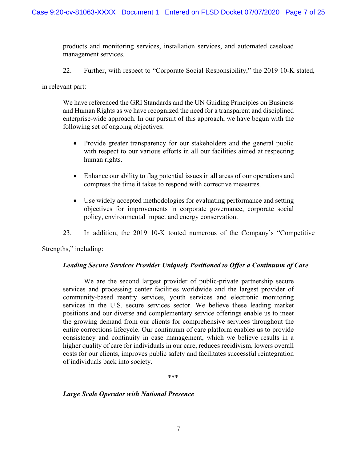products and monitoring services, installation services, and automated caseload management services.

22. Further, with respect to "Corporate Social Responsibility," the 2019 10-K stated,

in relevant part:

We have referenced the GRI Standards and the UN Guiding Principles on Business and Human Rights as we have recognized the need for a transparent and disciplined enterprise-wide approach. In our pursuit of this approach, we have begun with the following set of ongoing objectives:

- Provide greater transparency for our stakeholders and the general public with respect to our various efforts in all our facilities aimed at respecting human rights.
- Enhance our ability to flag potential issues in all areas of our operations and compress the time it takes to respond with corrective measures.
- Use widely accepted methodologies for evaluating performance and setting objectives for improvements in corporate governance, corporate social policy, environmental impact and energy conservation.
- 23. In addition, the 2019 10-K touted numerous of the Company's "Competitive

Strengths," including:

# *Leading Secure Services Provider Uniquely Positioned to Offer a Continuum of Care*

We are the second largest provider of public-private partnership secure services and processing center facilities worldwide and the largest provider of community-based reentry services, youth services and electronic monitoring services in the U.S. secure services sector. We believe these leading market positions and our diverse and complementary service offerings enable us to meet the growing demand from our clients for comprehensive services throughout the entire corrections lifecycle. Our continuum of care platform enables us to provide consistency and continuity in case management, which we believe results in a higher quality of care for individuals in our care, reduces recidivism, lowers overall costs for our clients, improves public safety and facilitates successful reintegration of individuals back into society.

\*\*\*

### *Large Scale Operator with National Presence*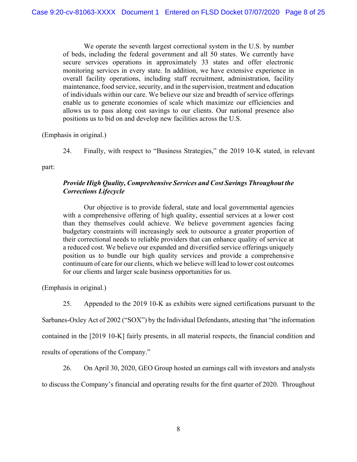We operate the seventh largest correctional system in the U.S. by number of beds, including the federal government and all 50 states. We currently have secure services operations in approximately 33 states and offer electronic monitoring services in every state. In addition, we have extensive experience in overall facility operations, including staff recruitment, administration, facility maintenance, food service, security, and in the supervision, treatment and education of individuals within our care. We believe our size and breadth of service offerings enable us to generate economies of scale which maximize our efficiencies and allows us to pass along cost savings to our clients. Our national presence also positions us to bid on and develop new facilities across the U.S.

(Emphasis in original.)

24. Finally, with respect to "Business Strategies," the 2019 10-K stated, in relevant

part:

# *Provide High Quality, Comprehensive Services and Cost Savings Throughout the Corrections Lifecycle*

Our objective is to provide federal, state and local governmental agencies with a comprehensive offering of high quality, essential services at a lower cost than they themselves could achieve. We believe government agencies facing budgetary constraints will increasingly seek to outsource a greater proportion of their correctional needs to reliable providers that can enhance quality of service at a reduced cost. We believe our expanded and diversified service offerings uniquely position us to bundle our high quality services and provide a comprehensive continuum of care for our clients, which we believe will lead to lower cost outcomes for our clients and larger scale business opportunities for us.

(Emphasis in original.)

25. Appended to the 2019 10-K as exhibits were signed certifications pursuant to the

Sarbanes-Oxley Act of 2002 ("SOX") by the Individual Defendants, attesting that "the information

contained in the [2019 10-K] fairly presents, in all material respects, the financial condition and

results of operations of the Company."

26. On April 30, 2020, GEO Group hosted an earnings call with investors and analysts

to discuss the Company's financial and operating results for the first quarter of 2020. Throughout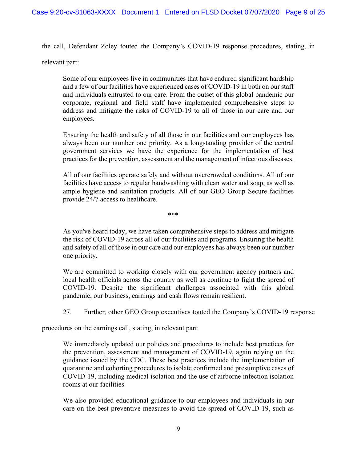the call, Defendant Zoley touted the Company's COVID-19 response procedures, stating, in

relevant part:

Some of our employees live in communities that have endured significant hardship and a few of our facilities have experienced cases of COVID-19 in both on our staff and individuals entrusted to our care. From the outset of this global pandemic our corporate, regional and field staff have implemented comprehensive steps to address and mitigate the risks of COVID-19 to all of those in our care and our employees.

Ensuring the health and safety of all those in our facilities and our employees has always been our number one priority. As a longstanding provider of the central government services we have the experience for the implementation of best practices for the prevention, assessment and the management of infectious diseases.

All of our facilities operate safely and without overcrowded conditions. All of our facilities have access to regular handwashing with clean water and soap, as well as ample hygiene and sanitation products. All of our GEO Group Secure facilities provide 24/7 access to healthcare.

\*\*\*

As you've heard today, we have taken comprehensive steps to address and mitigate the risk of COVID-19 across all of our facilities and programs. Ensuring the health and safety of all of those in our care and our employees has always been our number one priority.

We are committed to working closely with our government agency partners and local health officials across the country as well as continue to fight the spread of COVID-19. Despite the significant challenges associated with this global pandemic, our business, earnings and cash flows remain resilient.

27. Further, other GEO Group executives touted the Company's COVID-19 response

procedures on the earnings call, stating, in relevant part:

We immediately updated our policies and procedures to include best practices for the prevention, assessment and management of COVID-19, again relying on the guidance issued by the CDC. These best practices include the implementation of quarantine and cohorting procedures to isolate confirmed and presumptive cases of COVID-19, including medical isolation and the use of airborne infection isolation rooms at our facilities.

We also provided educational guidance to our employees and individuals in our care on the best preventive measures to avoid the spread of COVID-19, such as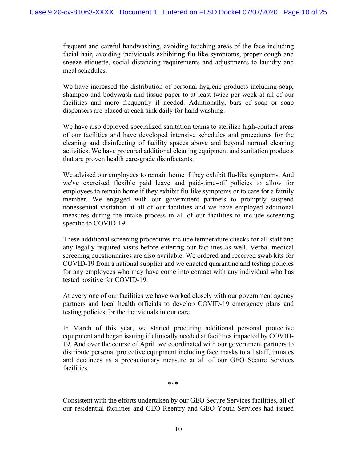frequent and careful handwashing, avoiding touching areas of the face including facial hair, avoiding individuals exhibiting flu-like symptoms, proper cough and sneeze etiquette, social distancing requirements and adjustments to laundry and meal schedules.

We have increased the distribution of personal hygiene products including soap, shampoo and bodywash and tissue paper to at least twice per week at all of our facilities and more frequently if needed. Additionally, bars of soap or soap dispensers are placed at each sink daily for hand washing.

We have also deployed specialized sanitation teams to sterilize high-contact areas of our facilities and have developed intensive schedules and procedures for the cleaning and disinfecting of facility spaces above and beyond normal cleaning activities. We have procured additional cleaning equipment and sanitation products that are proven health care-grade disinfectants.

We advised our employees to remain home if they exhibit flu-like symptoms. And we've exercised flexible paid leave and paid-time-off policies to allow for employees to remain home if they exhibit flu-like symptoms or to care for a family member. We engaged with our government partners to promptly suspend nonessential visitation at all of our facilities and we have employed additional measures during the intake process in all of our facilities to include screening specific to COVID-19.

These additional screening procedures include temperature checks for all staff and any legally required visits before entering our facilities as well. Verbal medical screening questionnaires are also available. We ordered and received swab kits for COVID-19 from a national supplier and we enacted quarantine and testing policies for any employees who may have come into contact with any individual who has tested positive for COVID-19.

At every one of our facilities we have worked closely with our government agency partners and local health officials to develop COVID-19 emergency plans and testing policies for the individuals in our care.

In March of this year, we started procuring additional personal protective equipment and began issuing if clinically needed at facilities impacted by COVID-19. And over the course of April, we coordinated with our government partners to distribute personal protective equipment including face masks to all staff, inmates and detainees as a precautionary measure at all of our GEO Secure Services facilities.

\*\*\*

Consistent with the efforts undertaken by our GEO Secure Services facilities, all of our residential facilities and GEO Reentry and GEO Youth Services had issued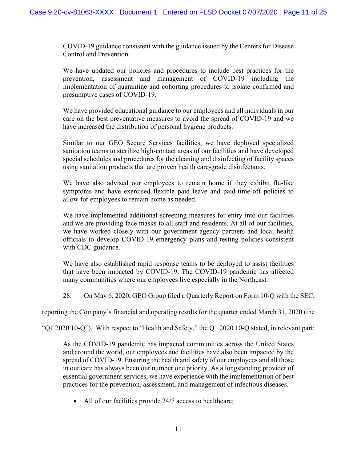COVID-19 guidance consistent with the guidance issued by the Centers for Disease Control and Prevention.

We have updated our policies and procedures to include best practices for the prevention, assessment and management of COVID-19 including the implementation of quarantine and cohorting procedures to isolate confirmed and presumptive cases of COVID-19.

We have provided educational guidance to our employees and all individuals in our care on the best preventative measures to avoid the spread of COVID-19 and we have increased the distribution of personal hygiene products.

Similar to our GEO Secure Services facilities, we have deployed specialized sanitation teams to sterilize high-contact areas of our facilities and have developed special schedules and procedures for the cleaning and disinfecting of facility spaces using sanitation products that are proven health care-grade disinfectants.

We have also advised our employees to remain home if they exhibit flu-like symptoms and have exercised flexible paid leave and paid-time-off policies to allow for employees to remain home as needed.

We have implemented additional screening measures for entry into our facilities and we are providing face masks to all staff and residents. At all of our facilities, we have worked closely with our government agency partners and local health officials to develop COVID-19 emergency plans and testing policies consistent with CDC guidance.

We have also established rapid response teams to be deployed to assist facilities that have been impacted by COVID-19. The COVID-19 pandemic has affected many communities where our employees live especially in the Northeast.

28. On May 6, 2020, GEO Group filed a Quarterly Report on Form 10-Q with the SEC,

reporting the Company's financial and operating results for the quarter ended March 31, 2020 (the

"Q1 2020 10-Q"). With respect to "Health and Safety," the Q1 2020 10-Q stated, in relevant part:

As the COVID-19 pandemic has impacted communities across the United States and around the world, our employees and facilities have also been impacted by the spread of COVID-19. Ensuring the health and safety of our employees and all those in our care has always been our number one priority. As a longstanding provider of essential government services, we have experience with the implementation of best practices for the prevention, assessment, and management of infectious diseases.

• All of our facilities provide 24/7 access to healthcare;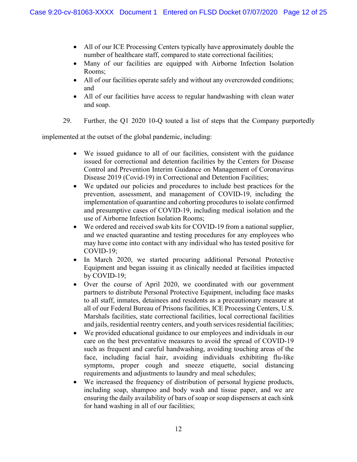- All of our ICE Processing Centers typically have approximately double the number of healthcare staff, compared to state correctional facilities;
- Many of our facilities are equipped with Airborne Infection Isolation Rooms;
- All of our facilities operate safely and without any overcrowded conditions; and
- All of our facilities have access to regular handwashing with clean water and soap.
- 29. Further, the Q1 2020 10-Q touted a list of steps that the Company purportedly

implemented at the outset of the global pandemic, including:

- We issued guidance to all of our facilities, consistent with the guidance issued for correctional and detention facilities by the Centers for Disease Control and Prevention Interim Guidance on Management of Coronavirus Disease 2019 (Covid-19) in Correctional and Detention Facilities;
- We updated our policies and procedures to include best practices for the prevention, assessment, and management of COVID-19, including the implementation of quarantine and cohorting procedures to isolate confirmed and presumptive cases of COVID-19, including medical isolation and the use of Airborne Infection Isolation Rooms;
- We ordered and received swab kits for COVID-19 from a national supplier, and we enacted quarantine and testing procedures for any employees who may have come into contact with any individual who has tested positive for COVID-19;
- In March 2020, we started procuring additional Personal Protective Equipment and began issuing it as clinically needed at facilities impacted by COVID-19;
- Over the course of April 2020, we coordinated with our government partners to distribute Personal Protective Equipment, including face masks to all staff, inmates, detainees and residents as a precautionary measure at all of our Federal Bureau of Prisons facilities, ICE Processing Centers, U.S. Marshals facilities, state correctional facilities, local correctional facilities and jails, residential reentry centers, and youth services residential facilities;
- We provided educational guidance to our employees and individuals in our care on the best preventative measures to avoid the spread of COVID-19 such as frequent and careful handwashing, avoiding touching areas of the face, including facial hair, avoiding individuals exhibiting flu-like symptoms, proper cough and sneeze etiquette, social distancing requirements and adjustments to laundry and meal schedules;
- We increased the frequency of distribution of personal hygiene products, including soap, shampoo and body wash and tissue paper, and we are ensuring the daily availability of bars of soap or soap dispensers at each sink for hand washing in all of our facilities;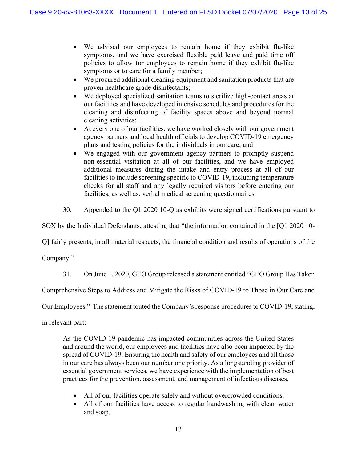- We advised our employees to remain home if they exhibit flu-like symptoms, and we have exercised flexible paid leave and paid time off policies to allow for employees to remain home if they exhibit flu-like symptoms or to care for a family member;
- We procured additional cleaning equipment and sanitation products that are proven healthcare grade disinfectants;
- We deployed specialized sanitation teams to sterilize high-contact areas at our facilities and have developed intensive schedules and procedures for the cleaning and disinfecting of facility spaces above and beyond normal cleaning activities;
- At every one of our facilities, we have worked closely with our government agency partners and local health officials to develop COVID-19 emergency plans and testing policies for the individuals in our care; and
- We engaged with our government agency partners to promptly suspend non-essential visitation at all of our facilities, and we have employed additional measures during the intake and entry process at all of our facilities to include screening specific to COVID-19, including temperature checks for all staff and any legally required visitors before entering our facilities, as well as, verbal medical screening questionnaires.
- 30. Appended to the Q1 2020 10-Q as exhibits were signed certifications pursuant to

SOX by the Individual Defendants, attesting that "the information contained in the [Q1 2020 10-

Q] fairly presents, in all material respects, the financial condition and results of operations of the

Company."

31. On June 1, 2020, GEO Group released a statement entitled "GEO Group Has Taken

Comprehensive Steps to Address and Mitigate the Risks of COVID-19 to Those in Our Care and

Our Employees." The statement touted the Company's response procedures to COVID-19, stating,

in relevant part:

As the COVID-19 pandemic has impacted communities across the United States and around the world, our employees and facilities have also been impacted by the spread of COVID-19. Ensuring the health and safety of our employees and all those in our care has always been our number one priority. As a longstanding provider of essential government services, we have experience with the implementation of best practices for the prevention, assessment, and management of infectious diseases.

- All of our facilities operate safely and without overcrowded conditions.
- All of our facilities have access to regular handwashing with clean water and soap.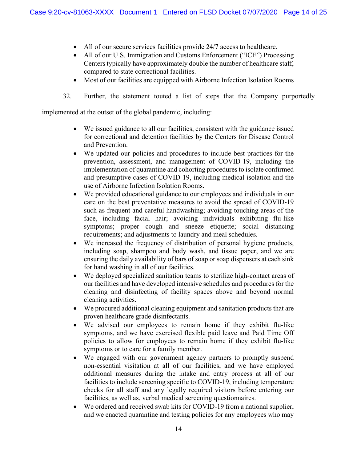- All of our secure services facilities provide 24/7 access to healthcare.
- All of our U.S. Immigration and Customs Enforcement ("ICE") Processing Centers typically have approximately double the number of healthcare staff, compared to state correctional facilities.
- Most of our facilities are equipped with Airborne Infection Isolation Rooms
- 32. Further, the statement touted a list of steps that the Company purportedly

implemented at the outset of the global pandemic, including:

- We issued guidance to all our facilities, consistent with the guidance issued for correctional and detention facilities by the Centers for Disease Control and Prevention.
- We updated our policies and procedures to include best practices for the prevention, assessment, and management of COVID-19, including the implementation of quarantine and cohorting procedures to isolate confirmed and presumptive cases of COVID-19, including medical isolation and the use of Airborne Infection Isolation Rooms.
- We provided educational guidance to our employees and individuals in our care on the best preventative measures to avoid the spread of COVID-19 such as frequent and careful handwashing; avoiding touching areas of the face, including facial hair; avoiding individuals exhibiting flu-like symptoms; proper cough and sneeze etiquette; social distancing requirements; and adjustments to laundry and meal schedules.
- We increased the frequency of distribution of personal hygiene products, including soap, shampoo and body wash, and tissue paper, and we are ensuring the daily availability of bars of soap or soap dispensers at each sink for hand washing in all of our facilities.
- We deployed specialized sanitation teams to sterilize high-contact areas of our facilities and have developed intensive schedules and procedures for the cleaning and disinfecting of facility spaces above and beyond normal cleaning activities.
- $\bullet$  We procured additional cleaning equipment and sanitation products that are proven healthcare grade disinfectants.
- We advised our employees to remain home if they exhibit flu-like symptoms, and we have exercised flexible paid leave and Paid Time Off policies to allow for employees to remain home if they exhibit flu-like symptoms or to care for a family member.
- We engaged with our government agency partners to promptly suspend non-essential visitation at all of our facilities, and we have employed additional measures during the intake and entry process at all of our facilities to include screening specific to COVID-19, including temperature checks for all staff and any legally required visitors before entering our facilities, as well as, verbal medical screening questionnaires.
- We ordered and received swab kits for COVID-19 from a national supplier, and we enacted quarantine and testing policies for any employees who may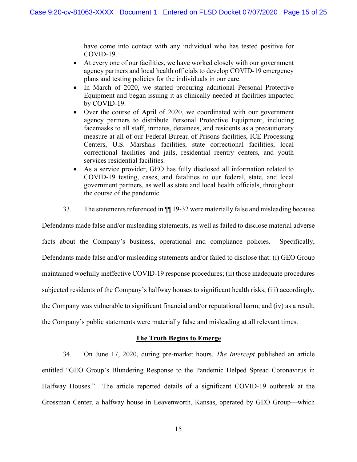have come into contact with any individual who has tested positive for COVID-19.

- At every one of our facilities, we have worked closely with our government agency partners and local health officials to develop COVID-19 emergency plans and testing policies for the individuals in our care.
- In March of 2020, we started procuring additional Personal Protective Equipment and began issuing it as clinically needed at facilities impacted by COVID-19.
- Over the course of April of 2020, we coordinated with our government agency partners to distribute Personal Protective Equipment, including facemasks to all staff, inmates, detainees, and residents as a precautionary measure at all of our Federal Bureau of Prisons facilities, ICE Processing Centers, U.S. Marshals facilities, state correctional facilities, local correctional facilities and jails, residential reentry centers, and youth services residential facilities.
- As a service provider, GEO has fully disclosed all information related to COVID-19 testing, cases, and fatalities to our federal, state, and local government partners, as well as state and local health officials, throughout the course of the pandemic.
- 33. The statements referenced in ¶¶ 19-32 were materially false and misleading because

Defendants made false and/or misleading statements, as well as failed to disclose material adverse facts about the Company's business, operational and compliance policies. Specifically, Defendants made false and/or misleading statements and/or failed to disclose that: (i) GEO Group maintained woefully ineffective COVID-19 response procedures; (ii) those inadequate procedures subjected residents of the Company's halfway houses to significant health risks; (iii) accordingly, the Company was vulnerable to significant financial and/or reputational harm; and (iv) as a result, the Company's public statements were materially false and misleading at all relevant times.

### **The Truth Begins to Emerge**

34. On June 17, 2020, during pre-market hours, *The Intercept* published an article entitled "GEO Group's Blundering Response to the Pandemic Helped Spread Coronavirus in Halfway Houses." The article reported details of a significant COVID-19 outbreak at the Grossman Center, a halfway house in Leavenworth, Kansas, operated by GEO Group—which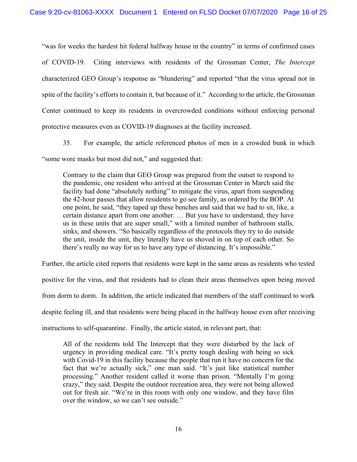"was for weeks the hardest hit federal halfway house in the country" in terms of confirmed cases of COVID-19. Citing interviews with residents of the Grossman Center, *The Intercept* characterized GEO Group's response as "blundering" and reported "that the virus spread not in spite of the facility's efforts to contain it, but because of it." According to the article, the Grossman Center continued to keep its residents in overcrowded conditions without enforcing personal protective measures even as COVID-19 diagnoses at the facility increased.

35. For example, the article referenced photos of men in a crowded bunk in which "some wore masks but most did not," and suggested that:

Contrary to the claim that GEO Group was prepared from the outset to respond to the pandemic, one resident who arrived at the Grossman Center in March said the facility had done "absolutely nothing" to mitigate the virus, apart from suspending the 42-hour passes that allow residents to go see family, as ordered by the BOP. At one point, he said, "they taped up these benches and said that we had to sit, like, a certain distance apart from one another. … But you have to understand, they have us in these units that are super small," with a limited number of bathroom stalls, sinks, and showers. "So basically regardless of the protocols they try to do outside the unit, inside the unit, they literally have us shoved in on top of each other. So there's really no way for us to have any type of distancing. It's impossible."

Further, the article cited reports that residents were kept in the same areas as residents who tested positive for the virus, and that residents had to clean their areas themselves upon being moved from dorm to dorm. In addition, the article indicated that members of the staff continued to work despite feeling ill, and that residents were being placed in the halfway house even after receiving instructions to self-quarantine. Finally, the article stated, in relevant part, that:

All of the residents told The Intercept that they were disturbed by the lack of urgency in providing medical care. "It's pretty tough dealing with being so sick with Covid-19 in this facility because the people that run it have no concern for the fact that we're actually sick," one man said. "It's just like statistical number processing." Another resident called it worse than prison. "Mentally I'm going crazy," they said. Despite the outdoor recreation area, they were not being allowed out for fresh air. "We're in this room with only one window, and they have film over the window, so we can't see outside."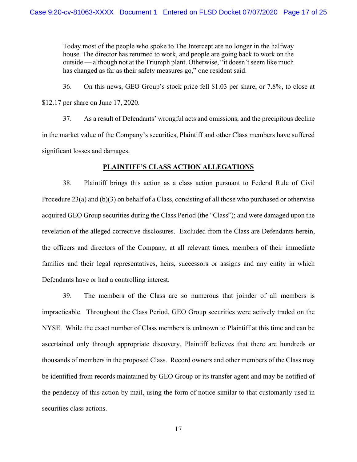Today most of the people who spoke to The Intercept are no longer in the halfway house. The director has returned to work, and people are going back to work on the outside — although not at the Triumph plant. Otherwise, "it doesn't seem like much has changed as far as their safety measures go," one resident said.

36. On this news, GEO Group's stock price fell \$1.03 per share, or 7.8%, to close at \$12.17 per share on June 17, 2020.

37. As a result of Defendants' wrongful acts and omissions, and the precipitous decline in the market value of the Company's securities, Plaintiff and other Class members have suffered significant losses and damages.

## **PLAINTIFF'S CLASS ACTION ALLEGATIONS**

38. Plaintiff brings this action as a class action pursuant to Federal Rule of Civil Procedure 23(a) and (b)(3) on behalf of a Class, consisting of all those who purchased or otherwise acquired GEO Group securities during the Class Period (the "Class"); and were damaged upon the revelation of the alleged corrective disclosures. Excluded from the Class are Defendants herein, the officers and directors of the Company, at all relevant times, members of their immediate families and their legal representatives, heirs, successors or assigns and any entity in which Defendants have or had a controlling interest.

39. The members of the Class are so numerous that joinder of all members is impracticable. Throughout the Class Period, GEO Group securities were actively traded on the NYSE. While the exact number of Class members is unknown to Plaintiff at this time and can be ascertained only through appropriate discovery, Plaintiff believes that there are hundreds or thousands of members in the proposed Class. Record owners and other members of the Class may be identified from records maintained by GEO Group or its transfer agent and may be notified of the pendency of this action by mail, using the form of notice similar to that customarily used in securities class actions.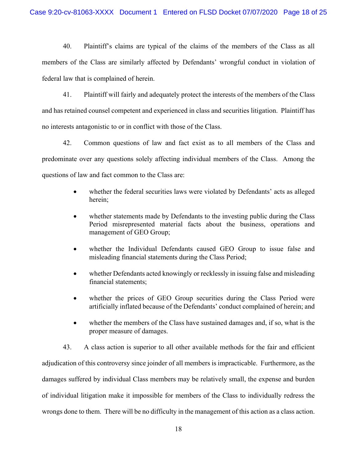40. Plaintiff's claims are typical of the claims of the members of the Class as all members of the Class are similarly affected by Defendants' wrongful conduct in violation of federal law that is complained of herein.

41. Plaintiff will fairly and adequately protect the interests of the members of the Class and has retained counsel competent and experienced in class and securities litigation. Plaintiff has no interests antagonistic to or in conflict with those of the Class.

42. Common questions of law and fact exist as to all members of the Class and predominate over any questions solely affecting individual members of the Class. Among the questions of law and fact common to the Class are:

- whether the federal securities laws were violated by Defendants' acts as alleged herein;
- whether statements made by Defendants to the investing public during the Class Period misrepresented material facts about the business, operations and management of GEO Group;
- whether the Individual Defendants caused GEO Group to issue false and misleading financial statements during the Class Period;
- whether Defendants acted knowingly or recklessly in issuing false and misleading financial statements;
- whether the prices of GEO Group securities during the Class Period were artificially inflated because of the Defendants' conduct complained of herein; and
- whether the members of the Class have sustained damages and, if so, what is the proper measure of damages.

43. A class action is superior to all other available methods for the fair and efficient adjudication of this controversy since joinder of all members is impracticable. Furthermore, as the damages suffered by individual Class members may be relatively small, the expense and burden of individual litigation make it impossible for members of the Class to individually redress the wrongs done to them. There will be no difficulty in the management of this action as a class action.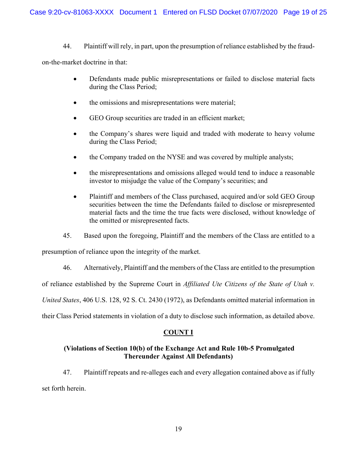44. Plaintiff will rely, in part, upon the presumption of reliance established by the fraud-

on-the-market doctrine in that:

- Defendants made public misrepresentations or failed to disclose material facts during the Class Period;
- the omissions and misrepresentations were material;
- GEO Group securities are traded in an efficient market;
- the Company's shares were liquid and traded with moderate to heavy volume during the Class Period;
- the Company traded on the NYSE and was covered by multiple analysts;
- the misrepresentations and omissions alleged would tend to induce a reasonable investor to misjudge the value of the Company's securities; and
- Plaintiff and members of the Class purchased, acquired and/or sold GEO Group securities between the time the Defendants failed to disclose or misrepresented material facts and the time the true facts were disclosed, without knowledge of the omitted or misrepresented facts.
- 45. Based upon the foregoing, Plaintiff and the members of the Class are entitled to a

presumption of reliance upon the integrity of the market.

46. Alternatively, Plaintiff and the members of the Class are entitled to the presumption

of reliance established by the Supreme Court in *Affiliated Ute Citizens of the State of Utah v.* 

*United States*, 406 U.S. 128, 92 S. Ct. 2430 (1972), as Defendants omitted material information in

their Class Period statements in violation of a duty to disclose such information, as detailed above.

# **COUNT I**

# **(Violations of Section 10(b) of the Exchange Act and Rule 10b-5 Promulgated Thereunder Against All Defendants)**

47. Plaintiff repeats and re-alleges each and every allegation contained above as if fully set forth herein.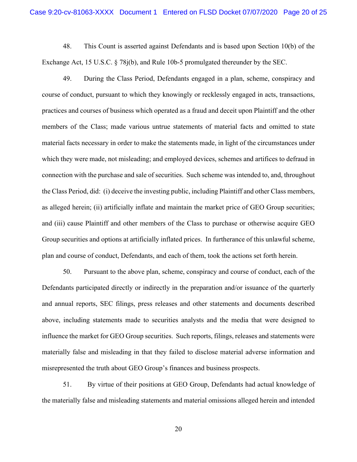48. This Count is asserted against Defendants and is based upon Section 10(b) of the Exchange Act, 15 U.S.C. § 78j(b), and Rule 10b-5 promulgated thereunder by the SEC.

49. During the Class Period, Defendants engaged in a plan, scheme, conspiracy and course of conduct, pursuant to which they knowingly or recklessly engaged in acts, transactions, practices and courses of business which operated as a fraud and deceit upon Plaintiff and the other members of the Class; made various untrue statements of material facts and omitted to state material facts necessary in order to make the statements made, in light of the circumstances under which they were made, not misleading; and employed devices, schemes and artifices to defraud in connection with the purchase and sale of securities. Such scheme was intended to, and, throughout the Class Period, did: (i) deceive the investing public, including Plaintiff and other Class members, as alleged herein; (ii) artificially inflate and maintain the market price of GEO Group securities; and (iii) cause Plaintiff and other members of the Class to purchase or otherwise acquire GEO Group securities and options at artificially inflated prices. In furtherance of this unlawful scheme, plan and course of conduct, Defendants, and each of them, took the actions set forth herein.

50. Pursuant to the above plan, scheme, conspiracy and course of conduct, each of the Defendants participated directly or indirectly in the preparation and/or issuance of the quarterly and annual reports, SEC filings, press releases and other statements and documents described above, including statements made to securities analysts and the media that were designed to influence the market for GEO Group securities. Such reports, filings, releases and statements were materially false and misleading in that they failed to disclose material adverse information and misrepresented the truth about GEO Group's finances and business prospects.

51. By virtue of their positions at GEO Group, Defendants had actual knowledge of the materially false and misleading statements and material omissions alleged herein and intended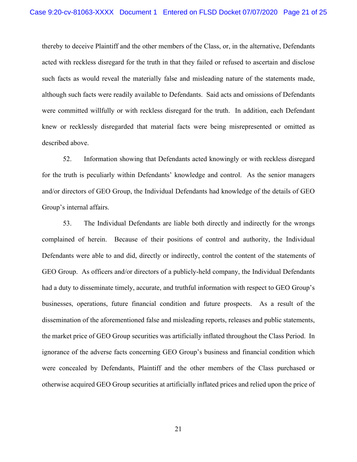thereby to deceive Plaintiff and the other members of the Class, or, in the alternative, Defendants acted with reckless disregard for the truth in that they failed or refused to ascertain and disclose such facts as would reveal the materially false and misleading nature of the statements made, although such facts were readily available to Defendants. Said acts and omissions of Defendants were committed willfully or with reckless disregard for the truth. In addition, each Defendant knew or recklessly disregarded that material facts were being misrepresented or omitted as described above.

52. Information showing that Defendants acted knowingly or with reckless disregard for the truth is peculiarly within Defendants' knowledge and control. As the senior managers and/or directors of GEO Group, the Individual Defendants had knowledge of the details of GEO Group's internal affairs.

53. The Individual Defendants are liable both directly and indirectly for the wrongs complained of herein. Because of their positions of control and authority, the Individual Defendants were able to and did, directly or indirectly, control the content of the statements of GEO Group. As officers and/or directors of a publicly-held company, the Individual Defendants had a duty to disseminate timely, accurate, and truthful information with respect to GEO Group's businesses, operations, future financial condition and future prospects. As a result of the dissemination of the aforementioned false and misleading reports, releases and public statements, the market price of GEO Group securities was artificially inflated throughout the Class Period. In ignorance of the adverse facts concerning GEO Group's business and financial condition which were concealed by Defendants, Plaintiff and the other members of the Class purchased or otherwise acquired GEO Group securities at artificially inflated prices and relied upon the price of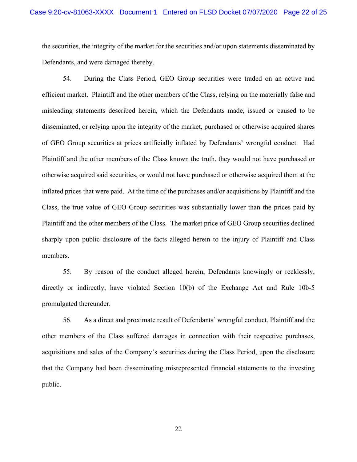the securities, the integrity of the market for the securities and/or upon statements disseminated by Defendants, and were damaged thereby.

54. During the Class Period, GEO Group securities were traded on an active and efficient market. Plaintiff and the other members of the Class, relying on the materially false and misleading statements described herein, which the Defendants made, issued or caused to be disseminated, or relying upon the integrity of the market, purchased or otherwise acquired shares of GEO Group securities at prices artificially inflated by Defendants' wrongful conduct. Had Plaintiff and the other members of the Class known the truth, they would not have purchased or otherwise acquired said securities, or would not have purchased or otherwise acquired them at the inflated prices that were paid. At the time of the purchases and/or acquisitions by Plaintiff and the Class, the true value of GEO Group securities was substantially lower than the prices paid by Plaintiff and the other members of the Class. The market price of GEO Group securities declined sharply upon public disclosure of the facts alleged herein to the injury of Plaintiff and Class members.

55. By reason of the conduct alleged herein, Defendants knowingly or recklessly, directly or indirectly, have violated Section 10(b) of the Exchange Act and Rule 10b-5 promulgated thereunder.

56. As a direct and proximate result of Defendants' wrongful conduct, Plaintiff and the other members of the Class suffered damages in connection with their respective purchases, acquisitions and sales of the Company's securities during the Class Period, upon the disclosure that the Company had been disseminating misrepresented financial statements to the investing public.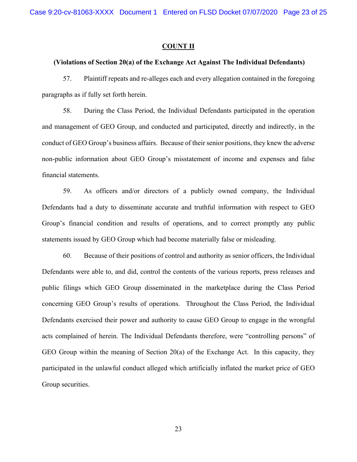Case 9:20-cv-81063-XXXX Document 1 Entered on FLSD Docket 07/07/2020 Page 23 of 25

#### **COUNT II**

#### **(Violations of Section 20(a) of the Exchange Act Against The Individual Defendants)**

57. Plaintiff repeats and re-alleges each and every allegation contained in the foregoing paragraphs as if fully set forth herein.

58. During the Class Period, the Individual Defendants participated in the operation and management of GEO Group, and conducted and participated, directly and indirectly, in the conduct of GEO Group's business affairs. Because of their senior positions, they knew the adverse non-public information about GEO Group's misstatement of income and expenses and false financial statements.

59. As officers and/or directors of a publicly owned company, the Individual Defendants had a duty to disseminate accurate and truthful information with respect to GEO Group's financial condition and results of operations, and to correct promptly any public statements issued by GEO Group which had become materially false or misleading.

60. Because of their positions of control and authority as senior officers, the Individual Defendants were able to, and did, control the contents of the various reports, press releases and public filings which GEO Group disseminated in the marketplace during the Class Period concerning GEO Group's results of operations. Throughout the Class Period, the Individual Defendants exercised their power and authority to cause GEO Group to engage in the wrongful acts complained of herein. The Individual Defendants therefore, were "controlling persons" of GEO Group within the meaning of Section 20(a) of the Exchange Act. In this capacity, they participated in the unlawful conduct alleged which artificially inflated the market price of GEO Group securities.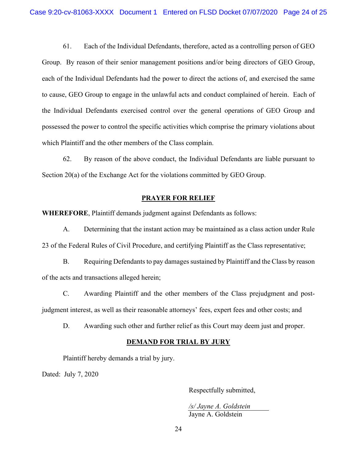61. Each of the Individual Defendants, therefore, acted as a controlling person of GEO Group. By reason of their senior management positions and/or being directors of GEO Group, each of the Individual Defendants had the power to direct the actions of, and exercised the same to cause, GEO Group to engage in the unlawful acts and conduct complained of herein. Each of the Individual Defendants exercised control over the general operations of GEO Group and possessed the power to control the specific activities which comprise the primary violations about which Plaintiff and the other members of the Class complain.

62. By reason of the above conduct, the Individual Defendants are liable pursuant to Section 20(a) of the Exchange Act for the violations committed by GEO Group.

### **PRAYER FOR RELIEF**

**WHEREFORE**, Plaintiff demands judgment against Defendants as follows:

A. Determining that the instant action may be maintained as a class action under Rule 23 of the Federal Rules of Civil Procedure, and certifying Plaintiff as the Class representative;

B. Requiring Defendants to pay damages sustained by Plaintiff and the Class by reason of the acts and transactions alleged herein;

C. Awarding Plaintiff and the other members of the Class prejudgment and postjudgment interest, as well as their reasonable attorneys' fees, expert fees and other costs; and

D. Awarding such other and further relief as this Court may deem just and proper.

### **DEMAND FOR TRIAL BY JURY**

Plaintiff hereby demands a trial by jury.

Dated: July 7, 2020

Respectfully submitted,

*/s/ Jayne A. Goldstein*  Jayne A. Goldstein